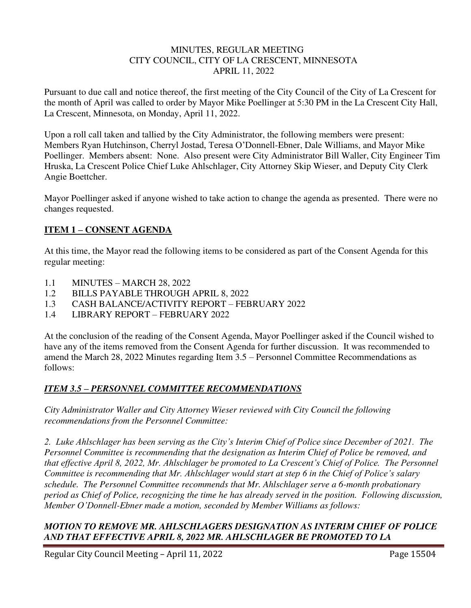#### MINUTES, REGULAR MEETING CITY COUNCIL, CITY OF LA CRESCENT, MINNESOTA APRIL 11, 2022

Pursuant to due call and notice thereof, the first meeting of the City Council of the City of La Crescent for the month of April was called to order by Mayor Mike Poellinger at 5:30 PM in the La Crescent City Hall, La Crescent, Minnesota, on Monday, April 11, 2022.

Upon a roll call taken and tallied by the City Administrator, the following members were present: Members Ryan Hutchinson, Cherryl Jostad, Teresa O'Donnell-Ebner, Dale Williams, and Mayor Mike Poellinger. Members absent: None. Also present were City Administrator Bill Waller, City Engineer Tim Hruska, La Crescent Police Chief Luke Ahlschlager, City Attorney Skip Wieser, and Deputy City Clerk Angie Boettcher.

Mayor Poellinger asked if anyone wished to take action to change the agenda as presented. There were no changes requested.

## **ITEM 1 – CONSENT AGENDA**

At this time, the Mayor read the following items to be considered as part of the Consent Agenda for this regular meeting:

- 1.1 MINUTES MARCH 28, 2022
- 1.2 BILLS PAYABLE THROUGH APRIL 8, 2022
- 1.3 CASH BALANCE/ACTIVITY REPORT FEBRUARY 2022
- 1.4 LIBRARY REPORT FEBRUARY 2022

At the conclusion of the reading of the Consent Agenda, Mayor Poellinger asked if the Council wished to have any of the items removed from the Consent Agenda for further discussion. It was recommended to amend the March 28, 2022 Minutes regarding Item 3.5 – Personnel Committee Recommendations as follows:

## *ITEM 3.5 – PERSONNEL COMMITTEE RECOMMENDATIONS*

*City Administrator Waller and City Attorney Wieser reviewed with City Council the following recommendations from the Personnel Committee:* 

*2. Luke Ahlschlager has been serving as the City's Interim Chief of Police since December of 2021. The Personnel Committee is recommending that the designation as Interim Chief of Police be removed, and that effective April 8, 2022, Mr. Ahlschlager be promoted to La Crescent's Chief of Police. The Personnel Committee is recommending that Mr. Ahlschlager would start at step 6 in the Chief of Police's salary schedule. The Personnel Committee recommends that Mr. Ahlschlager serve a 6-month probationary period as Chief of Police, recognizing the time he has already served in the position. Following discussion, Member O'Donnell-Ebner made a motion, seconded by Member Williams as follows:*

## *MOTION TO REMOVE MR. AHLSCHLAGERS DESIGNATION AS INTERIM CHIEF OF POLICE AND THAT EFFECTIVE APRIL 8, 2022 MR. AHLSCHLAGER BE PROMOTED TO LA*

Regular City Council Meeting – April 11, 2022 Page 15504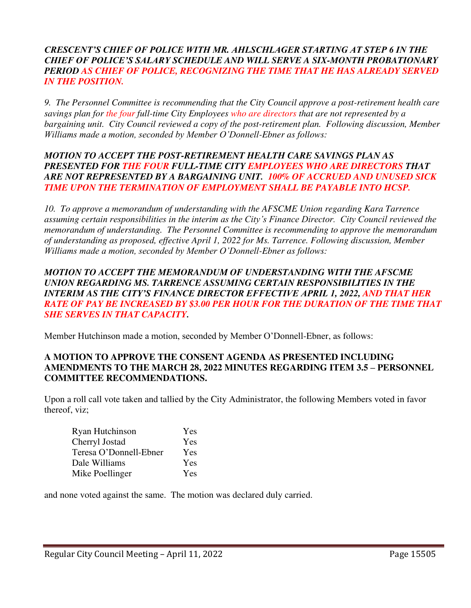## *CRESCENT'S CHIEF OF POLICE WITH MR. AHLSCHLAGER STARTING AT STEP 6 IN THE CHIEF OF POLICE'S SALARY SCHEDULE AND WILL SERVE A SIX-MONTH PROBATIONARY PERIOD AS CHIEF OF POLICE, RECOGNIZING THE TIME THAT HE HAS ALREADY SERVED IN THE POSITION.*

*9. The Personnel Committee is recommending that the City Council approve a post-retirement health care savings plan for the four full-time City Employees who are directors that are not represented by a bargaining unit. City Council reviewed a copy of the post-retirement plan. Following discussion, Member Williams made a motion, seconded by Member O'Donnell-Ebner as follows:* 

### *MOTION TO ACCEPT THE POST-RETIREMENT HEALTH CARE SAVINGS PLAN AS PRESENTED FOR THE FOUR FULL-TIME CITY EMPLOYEES WHO ARE DIRECTORS THAT ARE NOT REPRESENTED BY A BARGAINING UNIT. 100% OF ACCRUED AND UNUSED SICK TIME UPON THE TERMINATION OF EMPLOYMENT SHALL BE PAYABLE INTO HCSP.*

*10. To approve a memorandum of understanding with the AFSCME Union regarding Kara Tarrence assuming certain responsibilities in the interim as the City's Finance Director. City Council reviewed the memorandum of understanding. The Personnel Committee is recommending to approve the memorandum of understanding as proposed, effective April 1, 2022 for Ms. Tarrence. Following discussion, Member Williams made a motion, seconded by Member O'Donnell-Ebner as follows:* 

### *MOTION TO ACCEPT THE MEMORANDUM OF UNDERSTANDING WITH THE AFSCME UNION REGARDING MS. TARRENCE ASSUMING CERTAIN RESPONSIBILITIES IN THE INTERIM AS THE CITY'S FINANCE DIRECTOR EFFECTIVE APRIL 1, 2022, AND THAT HER RATE OF PAY BE INCREASED BY \$3.00 PER HOUR FOR THE DURATION OF THE TIME THAT SHE SERVES IN THAT CAPACITY.*

Member Hutchinson made a motion, seconded by Member O'Donnell-Ebner, as follows:

## **A MOTION TO APPROVE THE CONSENT AGENDA AS PRESENTED INCLUDING AMENDMENTS TO THE MARCH 28, 2022 MINUTES REGARDING ITEM 3.5 – PERSONNEL COMMITTEE RECOMMENDATIONS.**

Upon a roll call vote taken and tallied by the City Administrator, the following Members voted in favor thereof, viz;

| Ryan Hutchinson        | Yes |
|------------------------|-----|
| Cherryl Jostad         | Yes |
| Teresa O'Donnell-Ebner | Yes |
| Dale Williams          | Yes |
| Mike Poellinger        | Yes |

and none voted against the same. The motion was declared duly carried.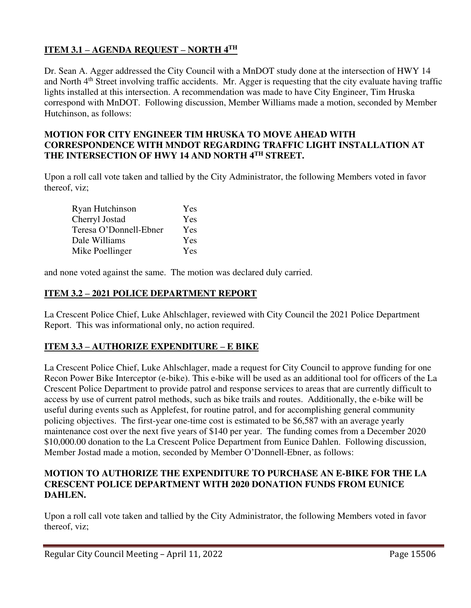## **ITEM 3.1 – AGENDA REQUEST – NORTH 4TH**

Dr. Sean A. Agger addressed the City Council with a MnDOT study done at the intersection of HWY 14 and North 4<sup>th</sup> Street involving traffic accidents. Mr. Agger is requesting that the city evaluate having traffic lights installed at this intersection. A recommendation was made to have City Engineer, Tim Hruska correspond with MnDOT. Following discussion, Member Williams made a motion, seconded by Member Hutchinson, as follows:

## **MOTION FOR CITY ENGINEER TIM HRUSKA TO MOVE AHEAD WITH CORRESPONDENCE WITH MNDOT REGARDING TRAFFIC LIGHT INSTALLATION AT THE INTERSECTION OF HWY 14 AND NORTH 4TH STREET.**

Upon a roll call vote taken and tallied by the City Administrator, the following Members voted in favor thereof, viz;

| Ryan Hutchinson        | Yes |
|------------------------|-----|
| Cherryl Jostad         | Yes |
| Teresa O'Donnell-Ebner | Yes |
| Dale Williams          | Yes |
| Mike Poellinger        | Yes |

and none voted against the same. The motion was declared duly carried.

## **ITEM 3.2 – 2021 POLICE DEPARTMENT REPORT**

La Crescent Police Chief, Luke Ahlschlager, reviewed with City Council the 2021 Police Department Report. This was informational only, no action required.

## **ITEM 3.3 – AUTHORIZE EXPENDITURE – E BIKE**

La Crescent Police Chief, Luke Ahlschlager, made a request for City Council to approve funding for one Recon Power Bike Interceptor (e-bike). This e-bike will be used as an additional tool for officers of the La Crescent Police Department to provide patrol and response services to areas that are currently difficult to access by use of current patrol methods, such as bike trails and routes. Additionally, the e-bike will be useful during events such as Applefest, for routine patrol, and for accomplishing general community policing objectives. The first-year one-time cost is estimated to be \$6,587 with an average yearly maintenance cost over the next five years of \$140 per year. The funding comes from a December 2020 \$10,000.00 donation to the La Crescent Police Department from Eunice Dahlen. Following discussion, Member Jostad made a motion, seconded by Member O'Donnell-Ebner, as follows:

## **MOTION TO AUTHORIZE THE EXPENDITURE TO PURCHASE AN E-BIKE FOR THE LA CRESCENT POLICE DEPARTMENT WITH 2020 DONATION FUNDS FROM EUNICE DAHLEN.**

Upon a roll call vote taken and tallied by the City Administrator, the following Members voted in favor thereof, viz;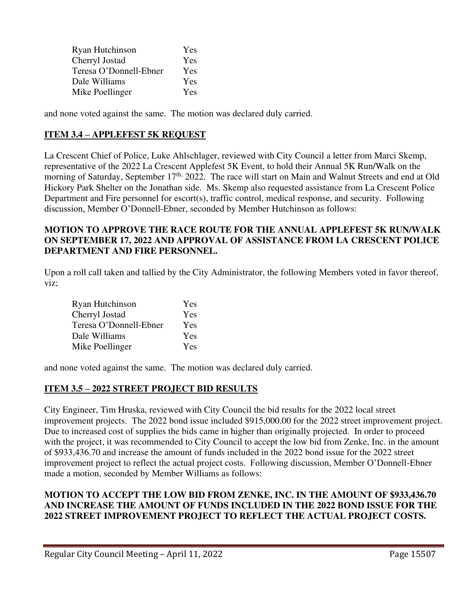| Ryan Hutchinson        | Yes        |
|------------------------|------------|
| Cherryl Jostad         | <b>Yes</b> |
| Teresa O'Donnell-Ebner | <b>Yes</b> |
| Dale Williams          | Yes        |
| Mike Poellinger        | <b>Yes</b> |

and none voted against the same. The motion was declared duly carried.

## **ITEM 3.4 – APPLEFEST 5K REQUEST**

La Crescent Chief of Police, Luke Ahlschlager, reviewed with City Council a letter from Marci Skemp, representative of the 2022 La Crescent Applefest 5K Event, to hold their Annual 5K Run/Walk on the morning of Saturday, September 17<sup>th,</sup> 2022. The race will start on Main and Walnut Streets and end at Old Hickory Park Shelter on the Jonathan side. Ms. Skemp also requested assistance from La Crescent Police Department and Fire personnel for escort(s), traffic control, medical response, and security. Following discussion, Member O'Donnell-Ebner, seconded by Member Hutchinson as follows:

## **MOTION TO APPROVE THE RACE ROUTE FOR THE ANNUAL APPLEFEST 5K RUN/WALK ON SEPTEMBER 17, 2022 AND APPROVAL OF ASSISTANCE FROM LA CRESCENT POLICE DEPARTMENT AND FIRE PERSONNEL.**

Upon a roll call taken and tallied by the City Administrator, the following Members voted in favor thereof, viz;

| Ryan Hutchinson        | Yes |
|------------------------|-----|
| Cherryl Jostad         | Yes |
| Teresa O'Donnell-Ebner | Yes |
| Dale Williams          | Yes |
| Mike Poellinger        | Yes |

and none voted against the same. The motion was declared duly carried.

## **ITEM 3.5 – 2022 STREET PROJECT BID RESULTS**

City Engineer, Tim Hruska, reviewed with City Council the bid results for the 2022 local street improvement projects. The 2022 bond issue included \$915,000.00 for the 2022 street improvement project. Due to increased cost of supplies the bids came in higher than originally projected. In order to proceed with the project, it was recommended to City Council to accept the low bid from Zenke, Inc. in the amount of \$933,436.70 and increase the amount of funds included in the 2022 bond issue for the 2022 street improvement project to reflect the actual project costs. Following discussion, Member O'Donnell-Ebner made a motion, seconded by Member Williams as follows:

#### **MOTION TO ACCEPT THE LOW BID FROM ZENKE, INC. IN THE AMOUNT OF \$933,436.70 AND INCREASE THE AMOUNT OF FUNDS INCLUDED IN THE 2022 BOND ISSUE FOR THE 2022 STREET IMPROVEMENT PROJECT TO REFLECT THE ACTUAL PROJECT COSTS.**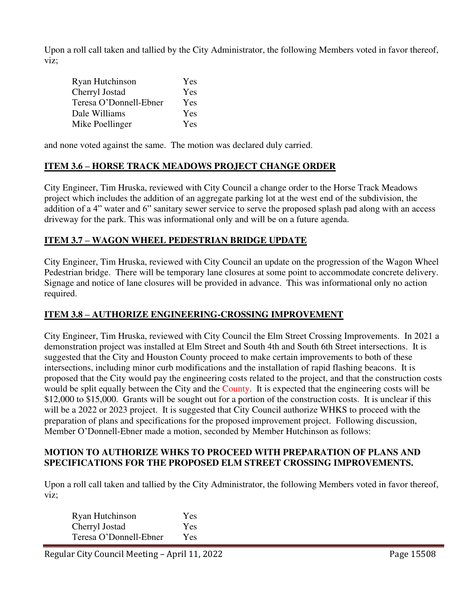Upon a roll call taken and tallied by the City Administrator, the following Members voted in favor thereof, viz;

| Ryan Hutchinson        | Yes        |
|------------------------|------------|
| Cherryl Jostad         | Yes        |
| Teresa O'Donnell-Ebner | <b>Yes</b> |
| Dale Williams          | <b>Yes</b> |
| Mike Poellinger        | Yes        |

and none voted against the same. The motion was declared duly carried.

#### **ITEM 3.6 – HORSE TRACK MEADOWS PROJECT CHANGE ORDER**

City Engineer, Tim Hruska, reviewed with City Council a change order to the Horse Track Meadows project which includes the addition of an aggregate parking lot at the west end of the subdivision, the addition of a 4" water and 6" sanitary sewer service to serve the proposed splash pad along with an access driveway for the park. This was informational only and will be on a future agenda.

#### **ITEM 3.7 – WAGON WHEEL PEDESTRIAN BRIDGE UPDATE**

City Engineer, Tim Hruska, reviewed with City Council an update on the progression of the Wagon Wheel Pedestrian bridge. There will be temporary lane closures at some point to accommodate concrete delivery. Signage and notice of lane closures will be provided in advance. This was informational only no action required.

## **ITEM 3.8 – AUTHORIZE ENGINEERING-CROSSING IMPROVEMENT**

City Engineer, Tim Hruska, reviewed with City Council the Elm Street Crossing Improvements. In 2021 a demonstration project was installed at Elm Street and South 4th and South 6th Street intersections. It is suggested that the City and Houston County proceed to make certain improvements to both of these intersections, including minor curb modifications and the installation of rapid flashing beacons. It is proposed that the City would pay the engineering costs related to the project, and that the construction costs would be split equally between the City and the County. It is expected that the engineering costs will be \$12,000 to \$15,000. Grants will be sought out for a portion of the construction costs. It is unclear if this will be a 2022 or 2023 project. It is suggested that City Council authorize WHKS to proceed with the preparation of plans and specifications for the proposed improvement project. Following discussion, Member O'Donnell-Ebner made a motion, seconded by Member Hutchinson as follows:

#### **MOTION TO AUTHORIZE WHKS TO PROCEED WITH PREPARATION OF PLANS AND SPECIFICATIONS FOR THE PROPOSED ELM STREET CROSSING IMPROVEMENTS.**

Upon a roll call taken and tallied by the City Administrator, the following Members voted in favor thereof, viz;

| Ryan Hutchinson        | Yes        |
|------------------------|------------|
| Cherryl Jostad         | Yes        |
| Teresa O'Donnell-Ebner | <b>Yes</b> |

Regular City Council Meeting – April 11, 2022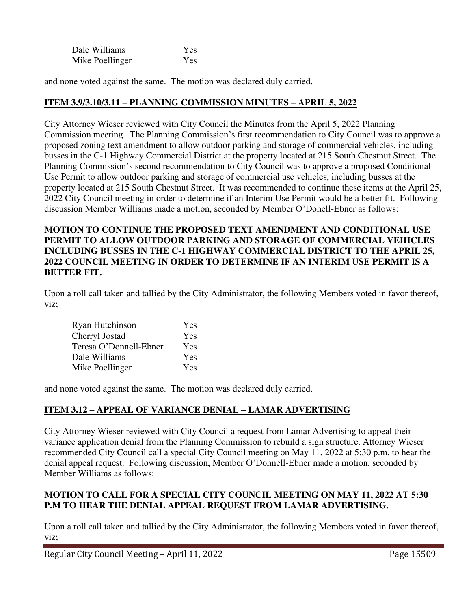| Dale Williams   | Yes |
|-----------------|-----|
| Mike Poellinger | Yes |

and none voted against the same. The motion was declared duly carried.

## **ITEM 3.9/3.10/3.11 – PLANNING COMMISSION MINUTES – APRIL 5, 2022**

City Attorney Wieser reviewed with City Council the Minutes from the April 5, 2022 Planning Commission meeting. The Planning Commission's first recommendation to City Council was to approve a proposed zoning text amendment to allow outdoor parking and storage of commercial vehicles, including busses in the C-1 Highway Commercial District at the property located at 215 South Chestnut Street. The Planning Commission's second recommendation to City Council was to approve a proposed Conditional Use Permit to allow outdoor parking and storage of commercial use vehicles, including busses at the property located at 215 South Chestnut Street. It was recommended to continue these items at the April 25, 2022 City Council meeting in order to determine if an Interim Use Permit would be a better fit. Following discussion Member Williams made a motion, seconded by Member O'Donell-Ebner as follows:

## **MOTION TO CONTINUE THE PROPOSED TEXT AMENDMENT AND CONDITIONAL USE PERMIT TO ALLOW OUTDOOR PARKING AND STORAGE OF COMMERCIAL VEHICLES INCLUDING BUSSES IN THE C-1 HIGHWAY COMMERCIAL DISTRICT TO THE APRIL 25, 2022 COUNCIL MEETING IN ORDER TO DETERMINE IF AN INTERIM USE PERMIT IS A BETTER FIT.**

Upon a roll call taken and tallied by the City Administrator, the following Members voted in favor thereof, viz;

| Ryan Hutchinson        | Yes |
|------------------------|-----|
| Cherryl Jostad         | Yes |
| Teresa O'Donnell-Ebner | Yes |
| Dale Williams          | Yes |
| Mike Poellinger        | Yes |

and none voted against the same. The motion was declared duly carried.

## **ITEM 3.12 – APPEAL OF VARIANCE DENIAL – LAMAR ADVERTISING**

City Attorney Wieser reviewed with City Council a request from Lamar Advertising to appeal their variance application denial from the Planning Commission to rebuild a sign structure. Attorney Wieser recommended City Council call a special City Council meeting on May 11, 2022 at 5:30 p.m. to hear the denial appeal request. Following discussion, Member O'Donnell-Ebner made a motion, seconded by Member Williams as follows:

## **MOTION TO CALL FOR A SPECIAL CITY COUNCIL MEETING ON MAY 11, 2022 AT 5:30 P.M TO HEAR THE DENIAL APPEAL REQUEST FROM LAMAR ADVERTISING.**

Upon a roll call taken and tallied by the City Administrator, the following Members voted in favor thereof, viz;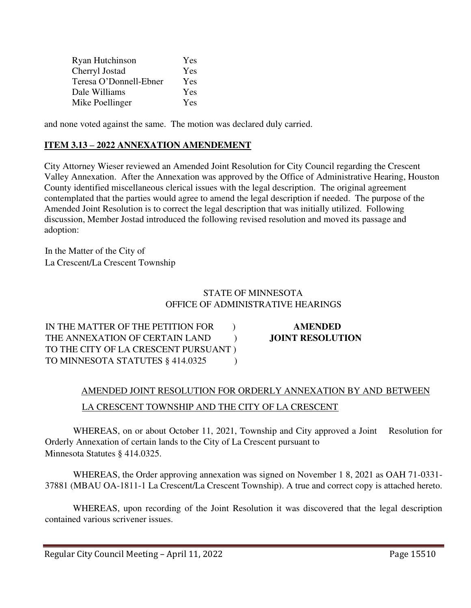| Ryan Hutchinson        | Yes        |
|------------------------|------------|
| Cherryl Jostad         | <b>Yes</b> |
| Teresa O'Donnell-Ebner | <b>Yes</b> |
| Dale Williams          | Yes        |
| Mike Poellinger        | <b>Yes</b> |

and none voted against the same. The motion was declared duly carried.

## **ITEM 3.13 – 2022 ANNEXATION AMENDEMENT**

City Attorney Wieser reviewed an Amended Joint Resolution for City Council regarding the Crescent Valley Annexation. After the Annexation was approved by the Office of Administrative Hearing, Houston County identified miscellaneous clerical issues with the legal description. The original agreement contemplated that the parties would agree to amend the legal description if needed. The purpose of the Amended Joint Resolution is to correct the legal description that was initially utilized. Following discussion, Member Jostad introduced the following revised resolution and moved its passage and adoption:

In the Matter of the City of La Crescent/La Crescent Township

## STATE OF MINNESOTA OFFICE OF ADMINISTRATIVE HEARINGS

IN THE MATTER OF THE PETITION FOR ) **AMENDED** THE ANNEXATION OF CERTAIN LAND **JOINT RESOLUTION** TO THE CITY OF LA CRESCENT PURSUANT ) TO MINNESOTA STATUTES § 414.0325 (1)

# AMENDED JOINT RESOLUTION FOR ORDERLY ANNEXATION BY AND BETWEEN LA CRESCENT TOWNSHIP AND THE CITY OF LA CRESCENT

WHEREAS, on or about October 11, 2021, Township and City approved a Joint Resolution for Orderly Annexation of certain lands to the City of La Crescent pursuant to Minnesota Statutes § 414.0325.

WHEREAS, the Order approving annexation was signed on November 1 8, 2021 as OAH 71-0331- 37881 (MBAU OA-1811-1 La Crescent/La Crescent Township). A true and correct copy is attached hereto.

WHEREAS, upon recording of the Joint Resolution it was discovered that the legal description contained various scrivener issues.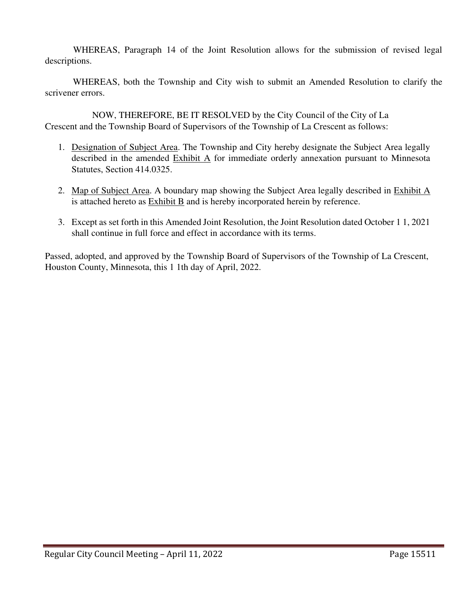WHEREAS, Paragraph 14 of the Joint Resolution allows for the submission of revised legal descriptions.

WHEREAS, both the Township and City wish to submit an Amended Resolution to clarify the scrivener errors.

NOW, THEREFORE, BE IT RESOLVED by the City Council of the City of La Crescent and the Township Board of Supervisors of the Township of La Crescent as follows:

- 1. Designation of Subject Area. The Township and City hereby designate the Subject Area legally described in the amended  $Exhibit A$  for immediate orderly annexation pursuant to Minnesota Statutes, Section 414.0325.
- 2. Map of Subject Area. A boundary map showing the Subject Area legally described in Exhibit A is attached hereto as Exhibit B and is hereby incorporated herein by reference.
- 3. Except as set forth in this Amended Joint Resolution, the Joint Resolution dated October 1 1, 2021 shall continue in full force and effect in accordance with its terms.

Passed, adopted, and approved by the Township Board of Supervisors of the Township of La Crescent, Houston County, Minnesota, this 1 1th day of April, 2022.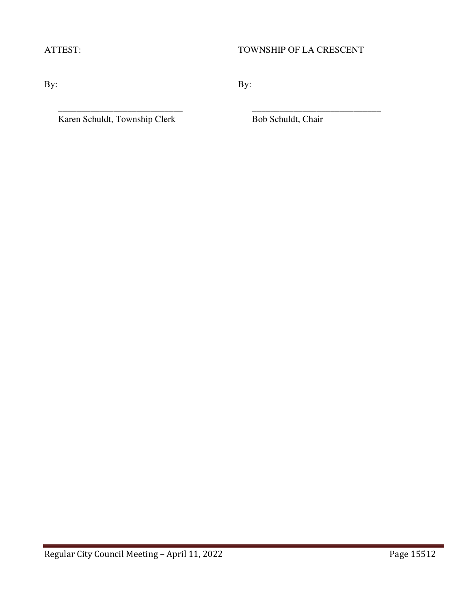## ATTEST: TOWNSHIP OF LA CRESCENT

By:  $By:$ 

\_\_\_\_\_\_\_\_\_\_\_\_\_\_\_\_\_\_\_\_\_\_\_\_\_\_\_ \_\_\_\_\_\_\_\_\_\_\_\_\_\_\_\_\_\_\_\_\_\_\_\_\_\_\_\_

Karen Schuldt, Township Clerk Bob Schuldt, Chair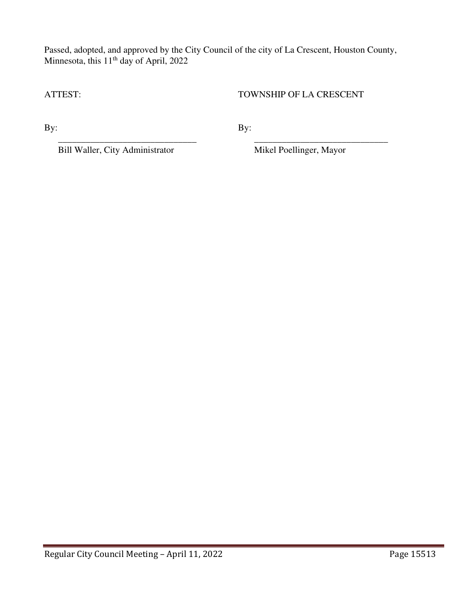Passed, adopted, and approved by the City Council of the city of La Crescent, Houston County, Minnesota, this 11<sup>th</sup> day of April, 2022

 $\overline{\phantom{a}}$  , and the contract of the contract of the contract of the contract of the contract of the contract of the contract of the contract of the contract of the contract of the contract of the contract of the contrac

ATTEST: TOWNSHIP OF LA CRESCENT

By:  $By:$ 

Bill Waller, City Administrator Mikel Poellinger, Mayor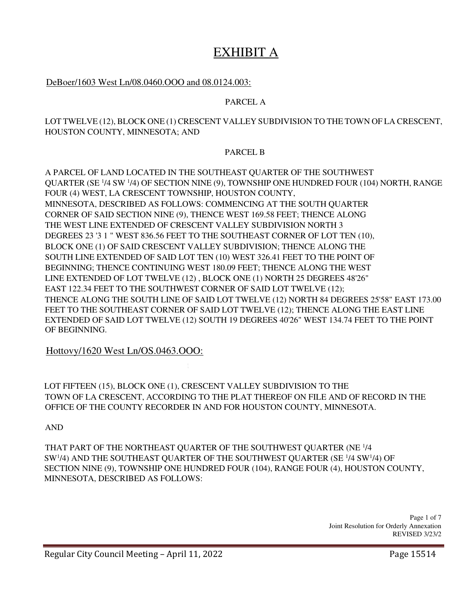# EXHIBIT A

### DeBoer/1603 West Ln/08.0460.OOO and 08.0124.003:

#### PARCEL A

#### LOT TWELVE (12), BLOCK ONE (1) CRESCENT VALLEY SUBDIVISION TO THE TOWN OF LA CRESCENT, HOUSTON COUNTY, MINNESOTA; AND

#### PARCEL B

A PARCEL OF LAND LOCATED IN THE SOUTHEAST QUARTER OF THE SOUTHWEST QUARTER (SE <sup>1</sup> /4 SW <sup>1</sup> /4) OF SECTION NINE (9), TOWNSHIP ONE HUNDRED FOUR (104) NORTH, RANGE FOUR (4) WEST, LA CRESCENT TOWNSHIP, HOUSTON COUNTY, MINNESOTA, DESCRIBED AS FOLLOWS: COMMENCING AT THE SOUTH QUARTER CORNER OF SAID SECTION NINE (9), THENCE WEST 169.58 FEET; THENCE ALONG THE WEST LINE EXTENDED OF CRESCENT VALLEY SUBDIVISION NORTH 3 DEGREES 23 '3 1 " WEST 836.56 FEET TO THE SOUTHEAST CORNER OF LOT TEN (10), BLOCK ONE (1) OF SAID CRESCENT VALLEY SUBDIVISION; THENCE ALONG THE SOUTH LINE EXTENDED OF SAID LOT TEN (10) WEST 326.41 FEET TO THE POINT OF BEGINNING; THENCE CONTINUING WEST 180.09 FEET; THENCE ALONG THE WEST LINE EXTENDED OF LOT TWELVE (12) , BLOCK ONE (1) NORTH 25 DEGREES 48'26" EAST 122.34 FEET TO THE SOUTHWEST CORNER OF SAID LOT TWELVE (12); THENCE ALONG THE SOUTH LINE OF SAID LOT TWELVE (12) NORTH 84 DEGREES 25'58" EAST 173.00 FEET TO THE SOUTHEAST CORNER OF SAID LOT TWELVE (12); THENCE ALONG THE EAST LINE EXTENDED OF SAID LOT TWELVE (12) SOUTH 19 DEGREES 40'26" WEST 134.74 FEET TO THE POINT OF BEGINNING.

Hottovy/1620 West Ln/OS.0463.OOO:

LOT FIFTEEN (15), BLOCK ONE (1), CRESCENT VALLEY SUBDIVISION TO THE TOWN OF LA CRESCENT, ACCORDING TO THE PLAT THEREOF ON FILE AND OF RECORD IN THE OFFICE OF THE COUNTY RECORDER IN AND FOR HOUSTON COUNTY, MINNESOTA.

AND

THAT PART OF THE NORTHEAST QUARTER OF THE SOUTHWEST QUARTER (NE <sup>1</sup> /4 SW<sup>1</sup>/4) AND THE SOUTHEAST QUARTER OF THE SOUTHWEST QUARTER (SE<sup>1</sup>/4 SW<sup>1</sup>/4) OF SECTION NINE (9), TOWNSHIP ONE HUNDRED FOUR (104), RANGE FOUR (4), HOUSTON COUNTY, MINNESOTA, DESCRIBED AS FOLLOWS:

> Page 1 of 7 Joint Resolution for Orderly Annexation REVISED 3/23/2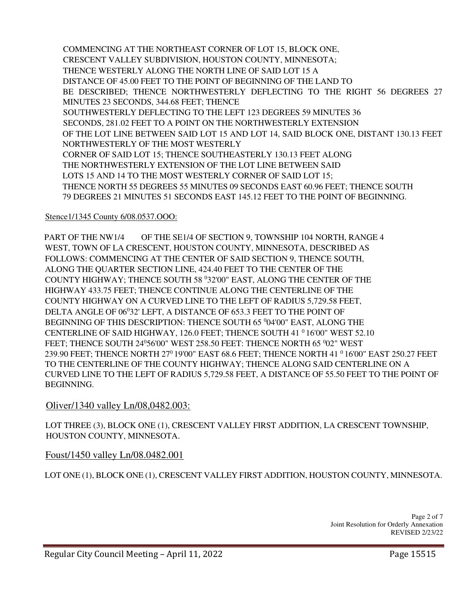COMMENCING AT THE NORTHEAST CORNER OF LOT 15, BLOCK ONE, CRESCENT VALLEY SUBDIVISION, HOUSTON COUNTY, MINNESOTA; THENCE WESTERLY ALONG THE NORTH LINE OF SAID LOT 15 A DISTANCE OF 45.00 FEET TO THE POINT OF BEGINNING OF THE LAND TO BE DESCRIBED; THENCE NORTHWESTERLY DEFLECTING TO THE RIGHT 56 DEGREES 27 MINUTES 23 SECONDS, 344.68 FEET; THENCE SOUTHWESTERLY DEFLECTING TO THE LEFT 123 DEGREES 59 MINUTES 36 SECONDS, 281.02 FEET TO A POINT ON THE NORTHWESTERLY EXTENSION OF THE LOT LINE BETWEEN SAID LOT 15 AND LOT 14, SAID BLOCK ONE, DISTANT 130.13 FEET NORTHWESTERLY OF THE MOST WESTERLY CORNER OF SAID LOT 15; THENCE SOUTHEASTERLY 130.13 FEET ALONG THE NORTHWESTERLY EXTENSION OF THE LOT LINE BETWEEN SAID LOTS 15 AND 14 TO THE MOST WESTERLY CORNER OF SAID LOT 15; THENCE NORTH 55 DEGREES 55 MINUTES 09 SECONDS EAST 60.96 FEET; THENCE SOUTH 79 DEGREES 21 MINUTES 51 SECONDS EAST 145.12 FEET TO THE POINT OF BEGINNING.

## Stence1/1345 County 6/08.0537.OOO:

PART OF THE NW1/4 OF THE SE1/4 OF SECTION 9, TOWNSHIP 104 NORTH, RANGE 4 WEST, TOWN OF LA CRESCENT, HOUSTON COUNTY, MINNESOTA, DESCRIBED AS FOLLOWS: COMMENCING AT THE CENTER OF SAID SECTION 9, THENCE SOUTH, ALONG THE QUARTER SECTION LINE, 424.40 FEET TO THE CENTER OF THE COUNTY HIGHWAY; THENCE SOUTH 58 <sup>0</sup>32'00" EAST, ALONG THE CENTER OF THE HIGHWAY 433.75 FEET; THENCE CONTINUE ALONG THE CENTERLINE OF THE COUNTY HIGHWAY ON A CURVED LINE TO THE LEFT OF RADIUS 5,729.58 FEET, DELTA ANGLE OF 06°32' LEFT, A DISTANCE OF 653.3 FEET TO THE POINT OF BEGINNING OF THIS DESCRIPTION: THENCE SOUTH 65 <sup>0</sup>04'00" EAST, ALONG THE CENTERLINE OF SAID HIGHWAY, 126.0 FEET; THENCE SOUTH 41<sup>0</sup>16'00" WEST 52.10 FEET; THENCE SOUTH 24<sup>0</sup>56'00" WEST 258.50 FEET: THENCE NORTH 65 <sup>0</sup>02" WEST 239.90 FEET; THENCE NORTH 27<sup>0</sup> 19'00" EAST 68.6 FEET; THENCE NORTH 41 <sup>0</sup> 16'00" EAST 250.27 FEET TO THE CENTERLINE OF THE COUNTY HIGHWAY; THENCE ALONG SAID CENTERLINE ON A CURVED LINE TO THE LEFT OF RADIUS 5,729.58 FEET, A DISTANCE OF 55.50 FEET TO THE POINT OF BEGINNING.

## Oliver/1340 valley Ln/08,0482.003:

LOT THREE (3), BLOCK ONE (1), CRESCENT VALLEY FIRST ADDITION, LA CRESCENT TOWNSHIP, HOUSTON COUNTY, MINNESOTA.

## Foust/1450 valley Ln/08.0482.001

LOT ONE (1), BLOCK ONE (1), CRESCENT VALLEY FIRST ADDITION, HOUSTON COUNTY, MINNESOTA.

Page 2 of 7 Joint Resolution for Orderly Annexation REVISED 2/23/22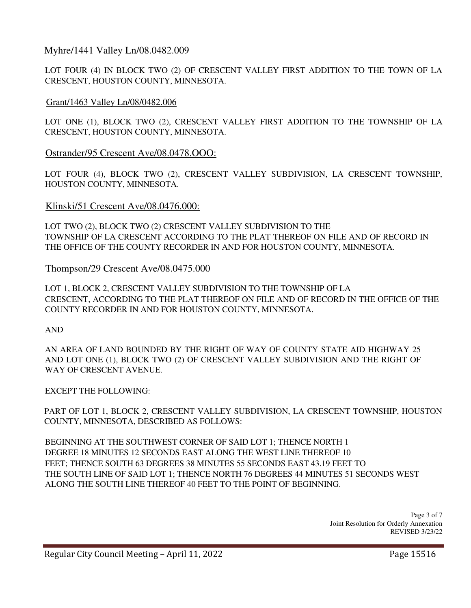## Myhre/1441 Valley Ln/08.0482.009

LOT FOUR (4) IN BLOCK TWO (2) OF CRESCENT VALLEY FIRST ADDITION TO THE TOWN OF LA CRESCENT, HOUSTON COUNTY, MINNESOTA.

### Grant/1463 Valley Ln/08/0482.006

LOT ONE (1), BLOCK TWO (2), CRESCENT VALLEY FIRST ADDITION TO THE TOWNSHIP OF LA CRESCENT, HOUSTON COUNTY, MINNESOTA.

#### Ostrander/95 Crescent Ave/08.0478.OOO:

LOT FOUR (4), BLOCK TWO (2), CRESCENT VALLEY SUBDIVISION, LA CRESCENT TOWNSHIP, HOUSTON COUNTY, MINNESOTA.

#### Klinski/51 Crescent Ave/08.0476.000:

LOT TWO (2), BLOCK TWO (2) CRESCENT VALLEY SUBDIVISION TO THE TOWNSHIP OF LA CRESCENT ACCORDING TO THE PLAT THEREOF ON FILE AND OF RECORD IN THE OFFICE OF THE COUNTY RECORDER IN AND FOR HOUSTON COUNTY, MINNESOTA.

#### Thompson/29 Crescent Ave/08.0475.000

LOT 1, BLOCK 2, CRESCENT VALLEY SUBDIVISION TO THE TOWNSHIP OF LA CRESCENT, ACCORDING TO THE PLAT THEREOF ON FILE AND OF RECORD IN THE OFFICE OF THE COUNTY RECORDER IN AND FOR HOUSTON COUNTY, MINNESOTA.

AND

AN AREA OF LAND BOUNDED BY THE RIGHT OF WAY OF COUNTY STATE AID HIGHWAY 25 AND LOT ONE (1), BLOCK TWO (2) OF CRESCENT VALLEY SUBDIVISION AND THE RIGHT OF WAY OF CRESCENT AVENUE.

EXCEPT THE FOLLOWING:

PART OF LOT 1, BLOCK 2, CRESCENT VALLEY SUBDIVISION, LA CRESCENT TOWNSHIP, HOUSTON COUNTY, MINNESOTA, DESCRIBED AS FOLLOWS:

BEGINNING AT THE SOUTHWEST CORNER OF SAID LOT 1; THENCE NORTH 1 DEGREE 18 MINUTES 12 SECONDS EAST ALONG THE WEST LINE THEREOF 10 FEET; THENCE SOUTH 63 DEGREES 38 MINUTES 55 SECONDS EAST 43.19 FEET TO THE SOUTH LINE OF SAID LOT 1; THENCE NORTH 76 DEGREES 44 MINUTES 51 SECONDS WEST ALONG THE SOUTH LINE THEREOF 40 FEET TO THE POINT OF BEGINNING.

> Page 3 of 7 Joint Resolution for Orderly Annexation REVISED 3/23/22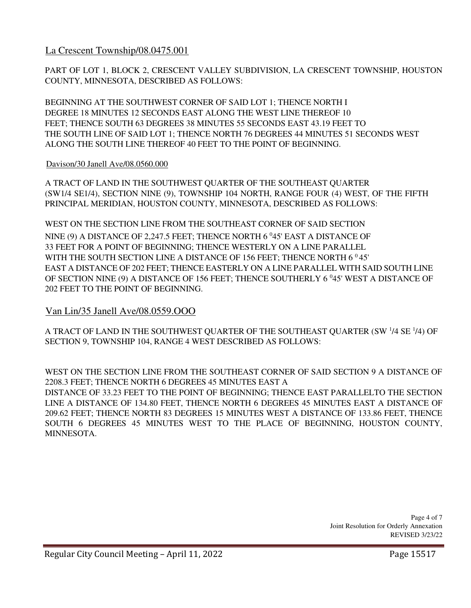La Crescent Township/08.0475.001

PART OF LOT 1, BLOCK 2, CRESCENT VALLEY SUBDIVISION, LA CRESCENT TOWNSHIP, HOUSTON COUNTY, MINNESOTA, DESCRIBED AS FOLLOWS:

BEGINNING AT THE SOUTHWEST CORNER OF SAID LOT 1; THENCE NORTH I DEGREE 18 MINUTES 12 SECONDS EAST ALONG THE WEST LINE THEREOF 10 FEET; THENCE SOUTH 63 DEGREES 38 MINUTES 55 SECONDS EAST 43.19 FEET TO THE SOUTH LINE OF SAID LOT 1; THENCE NORTH 76 DEGREES 44 MINUTES 51 SECONDS WEST ALONG THE SOUTH LINE THEREOF 40 FEET TO THE POINT OF BEGINNING.

#### Davison/30 Janell Ave/08.0560.000

A TRACT OF LAND IN THE SOUTHWEST QUARTER OF THE SOUTHEAST QUARTER (SW1/4 SE1/4), SECTION NINE (9), TOWNSHIP 104 NORTH, RANGE FOUR (4) WEST, OF THE FIFTH PRINCIPAL MERIDIAN, HOUSTON COUNTY, MINNESOTA, DESCRIBED AS FOLLOWS:

WEST ON THE SECTION LINE FROM THE SOUTHEAST CORNER OF SAID SECTION NINE (9) A DISTANCE OF 2,247.5 FEET; THENCE NORTH  $6<sup>0</sup>45'$  EAST A DISTANCE OF 33 FEET FOR A POINT OF BEGINNING; THENCE WESTERLY ON A LINE PARALLEL WITH THE SOUTH SECTION LINE A DISTANCE OF 156 FEET; THENCE NORTH 6  $045'$ EAST A DISTANCE OF 202 FEET; THENCE EASTERLY ON A LINE PARALLEL WITH SAID SOUTH LINE OF SECTION NINE (9) A DISTANCE OF 156 FEET; THENCE SOUTHERLY 6 <sup>0</sup>45' WEST A DISTANCE OF 202 FEET TO THE POINT OF BEGINNING.

## Van Lin/35 Janell Ave/08.0559.OOO

A TRACT OF LAND IN THE SOUTHWEST QUARTER OF THE SOUTHEAST QUARTER (SW 1/4 SE 1/4) OF SECTION 9, TOWNSHIP 104, RANGE 4 WEST DESCRIBED AS FOLLOWS:

WEST ON THE SECTION LINE FROM THE SOUTHEAST CORNER OF SAID SECTION 9 A DISTANCE OF 2208.3 FEET; THENCE NORTH 6 DEGREES 45 MINUTES EAST A DISTANCE OF 33.23 FEET TO THE POINT OF BEGINNING; THENCE EAST PARALLELTO THE SECTION LINE A DISTANCE OF 134.80 FEET, THENCE NORTH 6 DEGREES 45 MINUTES EAST A DISTANCE OF 209.62 FEET; THENCE NORTH 83 DEGREES 15 MINUTES WEST A DISTANCE OF 133.86 FEET, THENCE SOUTH 6 DEGREES 45 MINUTES WEST TO THE PLACE OF BEGINNING, HOUSTON COUNTY, MINNESOTA.

> Page 4 of 7 Joint Resolution for Orderly Annexation REVISED 3/23/22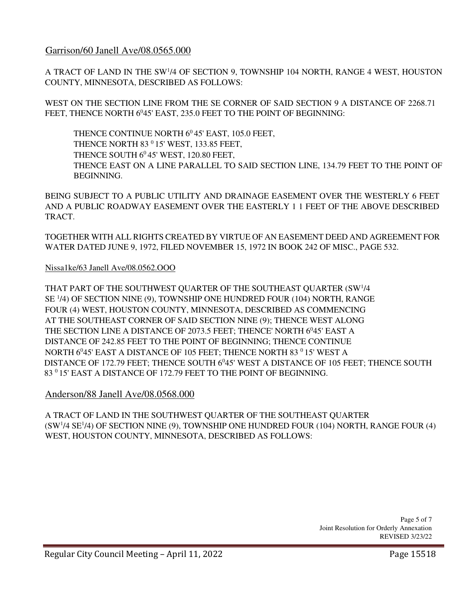## Garrison/60 Janell Ave/08.0565.000

A TRACT OF LAND IN THE SW<sup>1</sup>/4 OF SECTION 9, TOWNSHIP 104 NORTH, RANGE 4 WEST, HOUSTON COUNTY, MINNESOTA, DESCRIBED AS FOLLOWS:

WEST ON THE SECTION LINE FROM THE SE CORNER OF SAID SECTION 9 A DISTANCE OF 2268.71 FEET, THENCE NORTH 6°45' EAST, 235.0 FEET TO THE POINT OF BEGINNING:

THENCE CONTINUE NORTH  $6^0$ 45' EAST, 105.0 FEET, THENCE NORTH 83 <sup>0</sup> 15' WEST, 133.85 FEET, THENCE SOUTH  $6^0$ 45' WEST, 120.80 FEET, THENCE EAST ON A LINE PARALLEL TO SAID SECTION LINE, 134.79 FEET TO THE POINT OF BEGINNING.

BEING SUBJECT TO A PUBLIC UTILITY AND DRAINAGE EASEMENT OVER THE WESTERLY 6 FEET AND A PUBLIC ROADWAY EASEMENT OVER THE EASTERLY 1 1 FEET OF THE ABOVE DESCRIBED TRACT.

TOGETHER WITH ALL RIGHTS CREATED BY VIRTUE OF AN EASEMENT DEED AND AGREEMENT FOR WATER DATED JUNE 9, 1972, FILED NOVEMBER 15, 1972 IN BOOK 242 OF MISC., PAGE 532.

#### Nissa1ke/63 Janell Ave/08.0562.OOO

THAT PART OF THE SOUTHWEST QUARTER OF THE SOUTHEAST QUARTER (SW<sup>1</sup>/4 SE <sup>1</sup> /4) OF SECTION NINE (9), TOWNSHIP ONE HUNDRED FOUR (104) NORTH, RANGE FOUR (4) WEST, HOUSTON COUNTY, MINNESOTA, DESCRIBED AS COMMENCING AT THE SOUTHEAST CORNER OF SAID SECTION NINE (9); THENCE WEST ALONG THE SECTION LINE A DISTANCE OF 2073.5 FEET; THENCE' NORTH 6<sup>0</sup>45' EAST A DISTANCE OF 242.85 FEET TO THE POINT OF BEGINNING; THENCE CONTINUE NORTH 6<sup>0</sup>45' EAST A DISTANCE OF 105 FEET; THENCE NORTH 83<sup>0</sup> 15' WEST A DISTANCE OF 172.79 FEET; THENCE SOUTH 6<sup>0</sup>45' WEST A DISTANCE OF 105 FEET; THENCE SOUTH 83 <sup>0</sup>15' EAST A DISTANCE OF 172.79 FEET TO THE POINT OF BEGINNING.

## Anderson/88 Janell Ave/08.0568.000

A TRACT OF LAND IN THE SOUTHWEST QUARTER OF THE SOUTHEAST QUARTER (SW<sup>1</sup> /4 SE<sup>1</sup> /4) OF SECTION NINE (9), TOWNSHIP ONE HUNDRED FOUR (104) NORTH, RANGE FOUR (4) WEST, HOUSTON COUNTY, MINNESOTA, DESCRIBED AS FOLLOWS: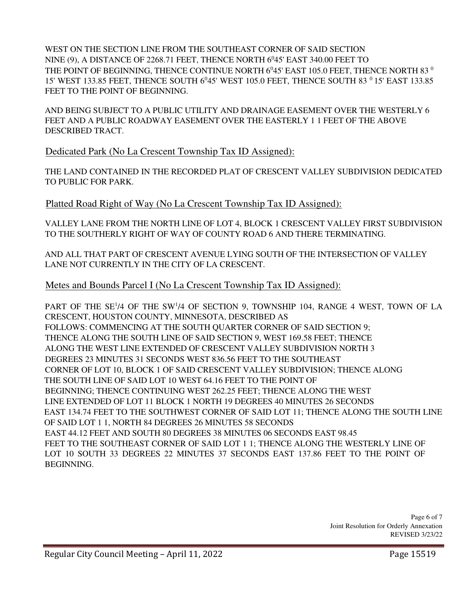WEST ON THE SECTION LINE FROM THE SOUTHEAST CORNER OF SAID SECTION NINE (9), A DISTANCE OF 2268.71 FEET, THENCE NORTH  $6<sup>0</sup>45'$  EAST 340.00 FEET TO THE POINT OF BEGINNING, THENCE CONTINUE NORTH  $6^{0}45'$  EAST 105.0 FEET, THENCE NORTH 83 $^{0}$ 15' WEST 133.85 FEET, THENCE SOUTH 6<sup>0</sup>45' WEST 105.0 FEET, THENCE SOUTH 83<sup>0</sup> 15' EAST 133.85 FEET TO THE POINT OF BEGINNING.

AND BEING SUBJECT TO A PUBLIC UTILITY AND DRAINAGE EASEMENT OVER THE WESTERLY 6 FEET AND A PUBLIC ROADWAY EASEMENT OVER THE EASTERLY 1 1 FEET OF THE ABOVE DESCRIBED TRACT.

Dedicated Park (No La Crescent Township Tax ID Assigned):

THE LAND CONTAINED IN THE RECORDED PLAT OF CRESCENT VALLEY SUBDIVISION DEDICATED TO PUBLIC FOR PARK.

Platted Road Right of Way (No La Crescent Township Tax ID Assigned):

VALLEY LANE FROM THE NORTH LINE OF LOT 4, BLOCK 1 CRESCENT VALLEY FIRST SUBDIVISION TO THE SOUTHERLY RIGHT OF WAY OF COUNTY ROAD 6 AND THERE TERMINATING.

AND ALL THAT PART OF CRESCENT AVENUE LYING SOUTH OF THE INTERSECTION OF VALLEY LANE NOT CURRENTLY IN THE CITY OF LA CRESCENT.

Metes and Bounds Parcel I (No La Crescent Township Tax ID Assigned):

PART OF THE SE<sup>1</sup>/4 OF THE SW<sup>1</sup>/4 OF SECTION 9, TOWNSHIP 104, RANGE 4 WEST, TOWN OF LA CRESCENT, HOUSTON COUNTY, MINNESOTA, DESCRIBED AS FOLLOWS: COMMENCING AT THE SOUTH QUARTER CORNER OF SAID SECTION 9; THENCE ALONG THE SOUTH LINE OF SAID SECTION 9, WEST 169.58 FEET; THENCE ALONG THE WEST LINE EXTENDED OF CRESCENT VALLEY SUBDIVISION NORTH 3 DEGREES 23 MINUTES 31 SECONDS WEST 836.56 FEET TO THE SOUTHEAST CORNER OF LOT 10, BLOCK 1 OF SAID CRESCENT VALLEY SUBDIVISION; THENCE ALONG THE SOUTH LINE OF SAID LOT 10 WEST 64.16 FEET TO THE POINT OF BEGINNING; THENCE CONTINUING WEST 262.25 FEET; THENCE ALONG THE WEST LINE EXTENDED OF LOT 11 BLOCK 1 NORTH 19 DEGREES 40 MINUTES 26 SECONDS EAST 134.74 FEET TO THE SOUTHWEST CORNER OF SAID LOT 11; THENCE ALONG THE SOUTH LINE OF SAID LOT 1 1, NORTH 84 DEGREES 26 MINUTES 58 SECONDS EAST 44.12 FEET AND SOUTH 80 DEGREES 38 MINUTES 06 SECONDS EAST 98.45 FEET TO THE SOUTHEAST CORNER OF SAID LOT 1 1; THENCE ALONG THE WESTERLY LINE OF LOT 10 SOUTH 33 DEGREES 22 MINUTES 37 SECONDS EAST 137.86 FEET TO THE POINT OF BEGINNING.

> Page 6 of 7 Joint Resolution for Orderly Annexation REVISED 3/23/22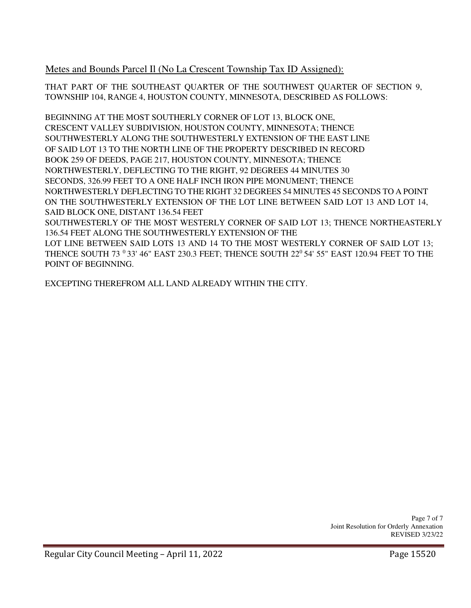Metes and Bounds Parcel Il (No La Crescent Township Tax ID Assigned):

THAT PART OF THE SOUTHEAST QUARTER OF THE SOUTHWEST QUARTER OF SECTION 9, TOWNSHIP 104, RANGE 4, HOUSTON COUNTY, MINNESOTA, DESCRIBED AS FOLLOWS:

BEGINNING AT THE MOST SOUTHERLY CORNER OF LOT 13, BLOCK ONE, CRESCENT VALLEY SUBDIVISION, HOUSTON COUNTY, MINNESOTA; THENCE SOUTHWESTERLY ALONG THE SOUTHWESTERLY EXTENSION OF THE EAST LINE OF SAID LOT 13 TO THE NORTH LINE OF THE PROPERTY DESCRIBED IN RECORD BOOK 259 OF DEEDS, PAGE 217, HOUSTON COUNTY, MINNESOTA; THENCE NORTHWESTERLY, DEFLECTING TO THE RIGHT, 92 DEGREES 44 MINUTES 30 SECONDS, 326.99 FEET TO A ONE HALF INCH IRON PIPE MONUMENT; THENCE NORTHWESTERLY DEFLECTING TO THE RIGHT 32 DEGREES 54 MINUTES 45 SECONDS TO A POINT ON THE SOUTHWESTERLY EXTENSION OF THE LOT LINE BETWEEN SAID LOT 13 AND LOT 14, SAID BLOCK ONE, DISTANT 136.54 FEET

SOUTHWESTERLY OF THE MOST WESTERLY CORNER OF SAID LOT 13; THENCE NORTHEASTERLY 136.54 FEET ALONG THE SOUTHWESTERLY EXTENSION OF THE

LOT LINE BETWEEN SAID LOTS 13 AND 14 TO THE MOST WESTERLY CORNER OF SAID LOT 13; THENCE SOUTH 73 <sup>0</sup> 33' 46" EAST 230.3 FEET; THENCE SOUTH 22<sup>0</sup> 54' 55" EAST 120.94 FEET TO THE POINT OF BEGINNING.

EXCEPTING THEREFROM ALL LAND ALREADY WITHIN THE CITY.

Page 7 of 7 Joint Resolution for Orderly Annexation REVISED 3/23/22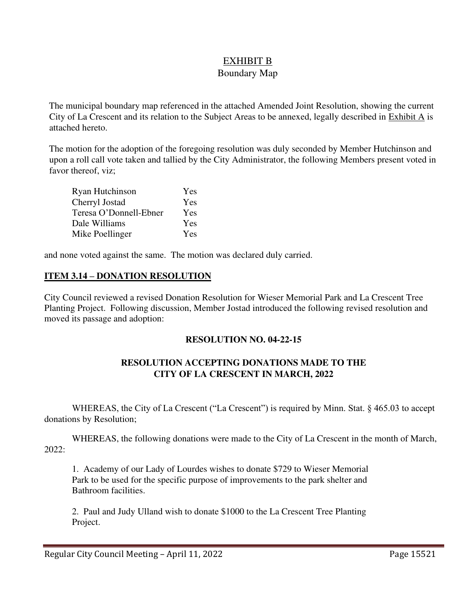## EXHIBIT B

## Boundary Map

The municipal boundary map referenced in the attached Amended Joint Resolution, showing the current City of La Crescent and its relation to the Subject Areas to be annexed, legally described in Exhibit A is attached hereto.

The motion for the adoption of the foregoing resolution was duly seconded by Member Hutchinson and upon a roll call vote taken and tallied by the City Administrator, the following Members present voted in favor thereof, viz;

| Ryan Hutchinson        | Yes |
|------------------------|-----|
| Cherryl Jostad         | Yes |
| Teresa O'Donnell-Ebner | Yes |
| Dale Williams          | Yes |
| Mike Poellinger        | Yes |

and none voted against the same. The motion was declared duly carried.

## **ITEM 3.14 – DONATION RESOLUTION**

City Council reviewed a revised Donation Resolution for Wieser Memorial Park and La Crescent Tree Planting Project. Following discussion, Member Jostad introduced the following revised resolution and moved its passage and adoption:

## **RESOLUTION NO. 04-22-15**

## **RESOLUTION ACCEPTING DONATIONS MADE TO THE CITY OF LA CRESCENT IN MARCH, 2022**

WHEREAS, the City of La Crescent ("La Crescent") is required by Minn. Stat. § 465.03 to accept donations by Resolution;

WHEREAS, the following donations were made to the City of La Crescent in the month of March, 2022:

1. Academy of our Lady of Lourdes wishes to donate \$729 to Wieser Memorial Park to be used for the specific purpose of improvements to the park shelter and Bathroom facilities.

2. Paul and Judy Ulland wish to donate \$1000 to the La Crescent Tree Planting Project.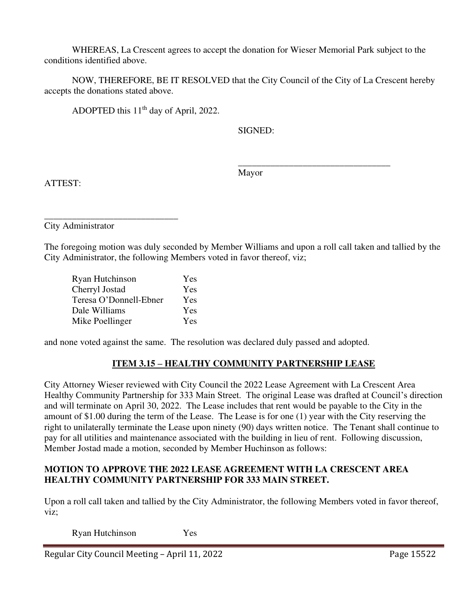WHEREAS, La Crescent agrees to accept the donation for Wieser Memorial Park subject to the conditions identified above.

 NOW, THEREFORE, BE IT RESOLVED that the City Council of the City of La Crescent hereby accepts the donations stated above.

ADOPTED this  $11<sup>th</sup>$  day of April, 2022.

SIGNED:

 $\overline{\phantom{a}}$  , and the contract of the contract of the contract of the contract of the contract of the contract of the contract of the contract of the contract of the contract of the contract of the contract of the contrac Mayor

ATTEST:

\_\_\_\_\_\_\_\_\_\_\_\_\_\_\_\_\_\_\_\_\_\_\_\_\_\_\_\_\_ City Administrator

The foregoing motion was duly seconded by Member Williams and upon a roll call taken and tallied by the City Administrator, the following Members voted in favor thereof, viz;

| Ryan Hutchinson        | Yes |
|------------------------|-----|
| Cherryl Jostad         | Yes |
| Teresa O'Donnell-Ebner | Yes |
| Dale Williams          | Yes |
| Mike Poellinger        | Yes |

and none voted against the same. The resolution was declared duly passed and adopted.

## **ITEM 3.15 – HEALTHY COMMUNITY PARTNERSHIP LEASE**

City Attorney Wieser reviewed with City Council the 2022 Lease Agreement with La Crescent Area Healthy Community Partnership for 333 Main Street. The original Lease was drafted at Council's direction and will terminate on April 30, 2022. The Lease includes that rent would be payable to the City in the amount of \$1.00 during the term of the Lease. The Lease is for one (1) year with the City reserving the right to unilaterally terminate the Lease upon ninety (90) days written notice. The Tenant shall continue to pay for all utilities and maintenance associated with the building in lieu of rent. Following discussion, Member Jostad made a motion, seconded by Member Huchinson as follows:

## **MOTION TO APPROVE THE 2022 LEASE AGREEMENT WITH LA CRESCENT AREA HEALTHY COMMUNITY PARTNERSHIP FOR 333 MAIN STREET.**

Upon a roll call taken and tallied by the City Administrator, the following Members voted in favor thereof, viz;

Ryan Hutchinson Yes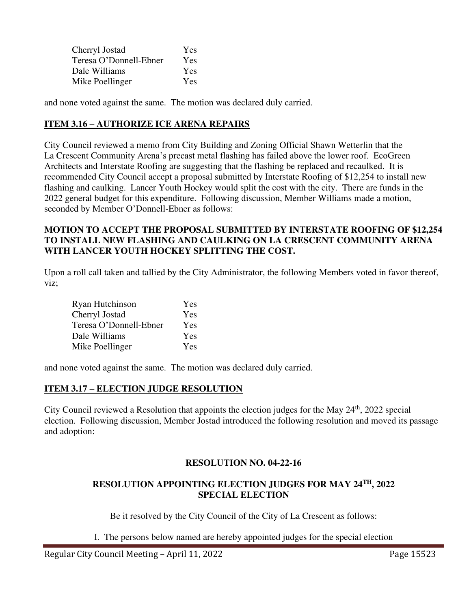| Cherryl Jostad         | Yes        |
|------------------------|------------|
| Teresa O'Donnell-Ebner | Yes        |
| Dale Williams          | Yes        |
| Mike Poellinger        | <b>Yes</b> |

and none voted against the same. The motion was declared duly carried.

## **ITEM 3.16 – AUTHORIZE ICE ARENA REPAIRS**

City Council reviewed a memo from City Building and Zoning Official Shawn Wetterlin that the La Crescent Community Arena's precast metal flashing has failed above the lower roof. EcoGreen Architects and Interstate Roofing are suggesting that the flashing be replaced and recaulked. It is recommended City Council accept a proposal submitted by Interstate Roofing of \$12,254 to install new flashing and caulking. Lancer Youth Hockey would split the cost with the city. There are funds in the 2022 general budget for this expenditure. Following discussion, Member Williams made a motion, seconded by Member O'Donnell-Ebner as follows:

#### **MOTION TO ACCEPT THE PROPOSAL SUBMITTED BY INTERSTATE ROOFING OF \$12,254 TO INSTALL NEW FLASHING AND CAULKING ON LA CRESCENT COMMUNITY ARENA WITH LANCER YOUTH HOCKEY SPLITTING THE COST.**

Upon a roll call taken and tallied by the City Administrator, the following Members voted in favor thereof, viz;

| Ryan Hutchinson        | Yes |
|------------------------|-----|
| Cherryl Jostad         | Yes |
| Teresa O'Donnell-Ebner | Yes |
| Dale Williams          | Yes |
| Mike Poellinger        | Yes |

and none voted against the same. The motion was declared duly carried.

## **ITEM 3.17 – ELECTION JUDGE RESOLUTION**

City Council reviewed a Resolution that appoints the election judges for the May  $24<sup>th</sup>$ , 2022 special election. Following discussion, Member Jostad introduced the following resolution and moved its passage and adoption:

## **RESOLUTION NO. 04-22-16**

## **RESOLUTION APPOINTING ELECTION JUDGES FOR MAY 24TH, 2022 SPECIAL ELECTION**

Be it resolved by the City Council of the City of La Crescent as follows:

I. The persons below named are hereby appointed judges for the special election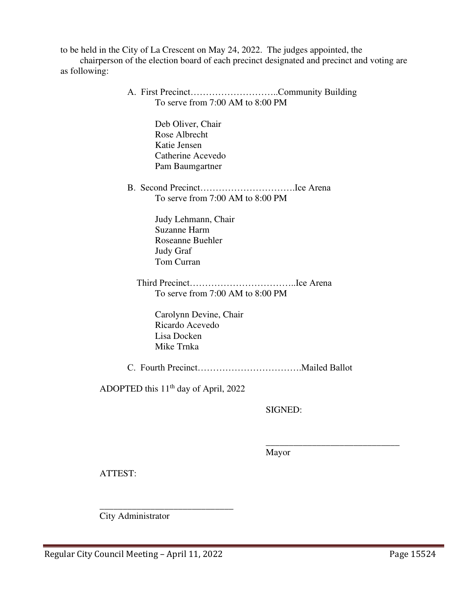to be held in the City of La Crescent on May 24, 2022. The judges appointed, the

chairperson of the election board of each precinct designated and precinct and voting are as following:

> A. First Precinct………………………..Community Building To serve from 7:00 AM to 8:00 PM

> > Deb Oliver, Chair Rose Albrecht Katie Jensen Catherine Acevedo Pam Baumgartner

 B. Second Precinct………………………….Ice Arena To serve from 7:00 AM to 8:00 PM

> Judy Lehmann, Chair Suzanne Harm Roseanne Buehler Judy Graf Tom Curran

 Third Precinct……………………………..Ice Arena To serve from 7:00 AM to 8:00 PM

 Carolynn Devine, Chair Ricardo Acevedo Lisa Docken Mike Trnka

C. Fourth Precinct…………………………….Mailed Ballot

 $\overline{\phantom{a}}$  , and the contract of the contract of the contract of the contract of the contract of the contract of the contract of the contract of the contract of the contract of the contract of the contract of the contrac

ADOPTED this 11th day of April, 2022

SIGNED:

Mayor

ATTEST:

 $\frac{1}{\sqrt{2}}$  ,  $\frac{1}{\sqrt{2}}$  ,  $\frac{1}{\sqrt{2}}$  ,  $\frac{1}{\sqrt{2}}$  ,  $\frac{1}{\sqrt{2}}$  ,  $\frac{1}{\sqrt{2}}$  ,  $\frac{1}{\sqrt{2}}$  ,  $\frac{1}{\sqrt{2}}$  ,  $\frac{1}{\sqrt{2}}$  ,  $\frac{1}{\sqrt{2}}$  ,  $\frac{1}{\sqrt{2}}$  ,  $\frac{1}{\sqrt{2}}$  ,  $\frac{1}{\sqrt{2}}$  ,  $\frac{1}{\sqrt{2}}$  ,  $\frac{1}{\sqrt{2}}$ City Administrator

Regular City Council Meeting - April 11, 2022 Page 15524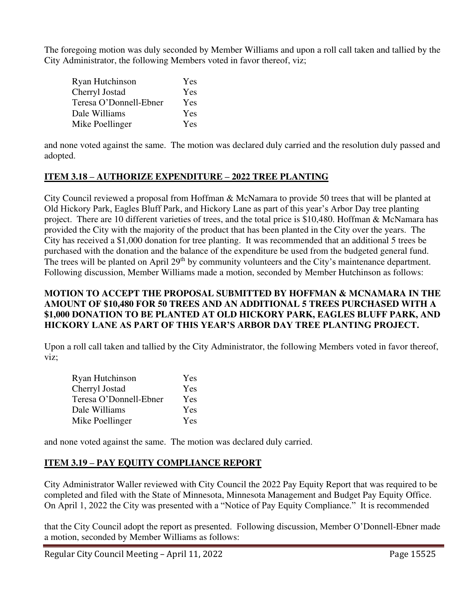The foregoing motion was duly seconded by Member Williams and upon a roll call taken and tallied by the City Administrator, the following Members voted in favor thereof, viz;

| Ryan Hutchinson        | Yes |
|------------------------|-----|
| Cherryl Jostad         | Yes |
| Teresa O'Donnell-Ebner | Yes |
| Dale Williams          | Yes |
| Mike Poellinger        | Yes |

and none voted against the same. The motion was declared duly carried and the resolution duly passed and adopted.

## **ITEM 3.18 – AUTHORIZE EXPENDITURE – 2022 TREE PLANTING**

City Council reviewed a proposal from Hoffman & McNamara to provide 50 trees that will be planted at Old Hickory Park, Eagles Bluff Park, and Hickory Lane as part of this year's Arbor Day tree planting project. There are 10 different varieties of trees, and the total price is \$10,480. Hoffman & McNamara has provided the City with the majority of the product that has been planted in the City over the years. The City has received a \$1,000 donation for tree planting. It was recommended that an additional 5 trees be purchased with the donation and the balance of the expenditure be used from the budgeted general fund. The trees will be planted on April 29<sup>th</sup> by community volunteers and the City's maintenance department. Following discussion, Member Williams made a motion, seconded by Member Hutchinson as follows:

### **MOTION TO ACCEPT THE PROPOSAL SUBMITTED BY HOFFMAN & MCNAMARA IN THE AMOUNT OF \$10,480 FOR 50 TREES AND AN ADDITIONAL 5 TREES PURCHASED WITH A \$1,000 DONATION TO BE PLANTED AT OLD HICKORY PARK, EAGLES BLUFF PARK, AND HICKORY LANE AS PART OF THIS YEAR'S ARBOR DAY TREE PLANTING PROJECT.**

Upon a roll call taken and tallied by the City Administrator, the following Members voted in favor thereof, viz;

| Ryan Hutchinson        | Yes |
|------------------------|-----|
| Cherryl Jostad         | Yes |
| Teresa O'Donnell-Ebner | Yes |
| Dale Williams          | Yes |
| Mike Poellinger        | Yes |

and none voted against the same. The motion was declared duly carried.

## **ITEM 3.19 – PAY EQUITY COMPLIANCE REPORT**

City Administrator Waller reviewed with City Council the 2022 Pay Equity Report that was required to be completed and filed with the State of Minnesota, Minnesota Management and Budget Pay Equity Office. On April 1, 2022 the City was presented with a "Notice of Pay Equity Compliance." It is recommended

that the City Council adopt the report as presented. Following discussion, Member O'Donnell-Ebner made a motion, seconded by Member Williams as follows: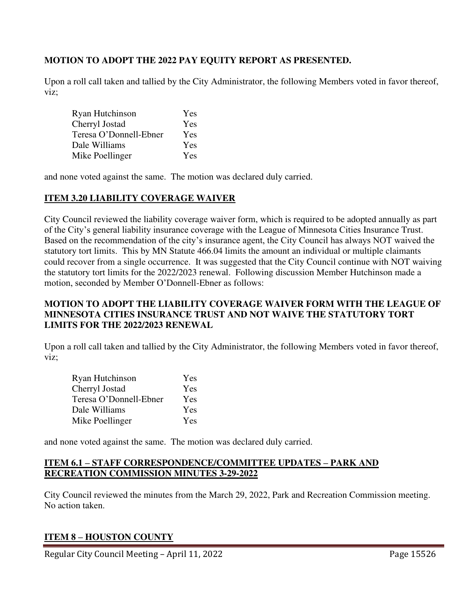## **MOTION TO ADOPT THE 2022 PAY EQUITY REPORT AS PRESENTED.**

Upon a roll call taken and tallied by the City Administrator, the following Members voted in favor thereof, viz;

| Ryan Hutchinson        | Yes |
|------------------------|-----|
| Cherryl Jostad         | Yes |
| Teresa O'Donnell-Ebner | Yes |
| Dale Williams          | Yes |
| Mike Poellinger        | Yes |

and none voted against the same. The motion was declared duly carried.

## **ITEM 3.20 LIABILITY COVERAGE WAIVER**

City Council reviewed the liability coverage waiver form, which is required to be adopted annually as part of the City's general liability insurance coverage with the League of Minnesota Cities Insurance Trust. Based on the recommendation of the city's insurance agent, the City Council has always NOT waived the statutory tort limits. This by MN Statute 466.04 limits the amount an individual or multiple claimants could recover from a single occurrence. It was suggested that the City Council continue with NOT waiving the statutory tort limits for the 2022/2023 renewal. Following discussion Member Hutchinson made a motion, seconded by Member O'Donnell-Ebner as follows:

#### **MOTION TO ADOPT THE LIABILITY COVERAGE WAIVER FORM WITH THE LEAGUE OF MINNESOTA CITIES INSURANCE TRUST AND NOT WAIVE THE STATUTORY TORT LIMITS FOR THE 2022/2023 RENEWAL**

Upon a roll call taken and tallied by the City Administrator, the following Members voted in favor thereof, viz;

| Ryan Hutchinson        | Yes        |
|------------------------|------------|
| Cherryl Jostad         | Yes        |
| Teresa O'Donnell-Ebner | <b>Yes</b> |
| Dale Williams          | Yes        |
| Mike Poellinger        | <b>Yes</b> |

and none voted against the same. The motion was declared duly carried.

## **ITEM 6.1 – STAFF CORRESPONDENCE/COMMITTEE UPDATES – PARK AND RECREATION COMMISSION MINUTES 3-29-2022**

City Council reviewed the minutes from the March 29, 2022, Park and Recreation Commission meeting. No action taken.

## **ITEM 8 – HOUSTON COUNTY**

Regular City Council Meeting – April 11, 2022